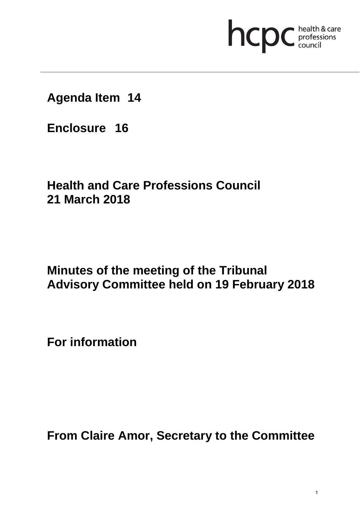# **health & care**

**Agenda Item 14**

**Enclosure 16**

# **Health and Care Professions Council 21 March 2018**

## **Minutes of the meeting of the Tribunal Advisory Committee held on 19 February 2018**

**For information** 

**From Claire Amor, Secretary to the Committee**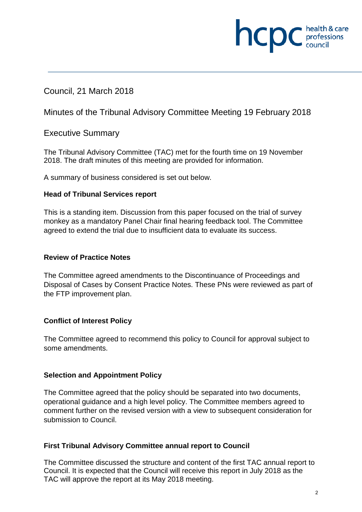# **INCDC** *c professions*

#### Council, 21 March 2018

Minutes of the Tribunal Advisory Committee Meeting 19 February 2018

#### Executive Summary

The Tribunal Advisory Committee (TAC) met for the fourth time on 19 November 2018. The draft minutes of this meeting are provided for information.

A summary of business considered is set out below.

#### **Head of Tribunal Services report**

This is a standing item. Discussion from this paper focused on the trial of survey monkey as a mandatory Panel Chair final hearing feedback tool. The Committee agreed to extend the trial due to insufficient data to evaluate its success.

#### **Review of Practice Notes**

The Committee agreed amendments to the Discontinuance of Proceedings and Disposal of Cases by Consent Practice Notes. These PNs were reviewed as part of the FTP improvement plan.

#### **Conflict of Interest Policy**

The Committee agreed to recommend this policy to Council for approval subject to some amendments.

#### **Selection and Appointment Policy**

The Committee agreed that the policy should be separated into two documents, operational guidance and a high level policy. The Committee members agreed to comment further on the revised version with a view to subsequent consideration for submission to Council.

#### **First Tribunal Advisory Committee annual report to Council**

The Committee discussed the structure and content of the first TAC annual report to Council. It is expected that the Council will receive this report in July 2018 as the TAC will approve the report at its May 2018 meeting.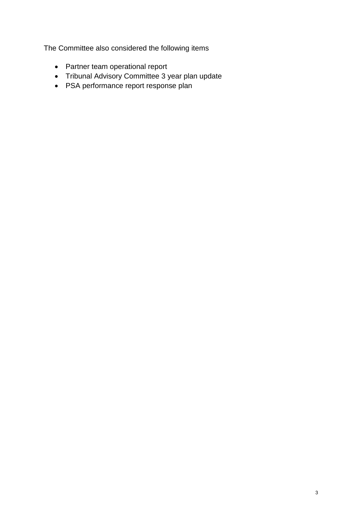The Committee also considered the following items

- Partner team operational report
- Tribunal Advisory Committee 3 year plan update
- PSA performance report response plan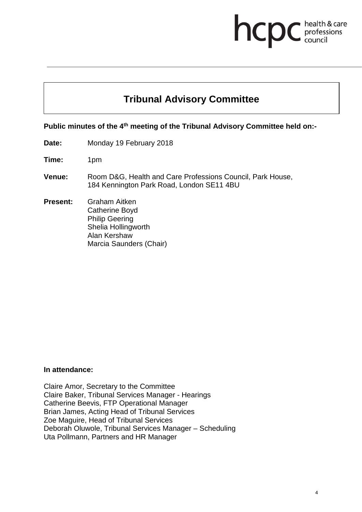# health & care **health & card**<br>council

### **Tribunal Advisory Committee**

**Public minutes of the 4th meeting of the Tribunal Advisory Committee held on:-** 

- **Date:** Monday 19 February 2018
- **Time:** 1pm
- **Venue:** Room D&G, Health and Care Professions Council, Park House, 184 Kennington Park Road, London SE11 4BU
- **Present:** Graham Aitken Catherine Boyd Philip Geering Shelia Hollingworth Alan Kershaw Marcia Saunders (Chair)

#### **In attendance:**

Claire Amor, Secretary to the Committee Claire Baker, Tribunal Services Manager - Hearings Catherine Beevis, FTP Operational Manager Brian James, Acting Head of Tribunal Services Zoe Maguire, Head of Tribunal Services Deborah Oluwole, Tribunal Services Manager – Scheduling Uta Pollmann, Partners and HR Manager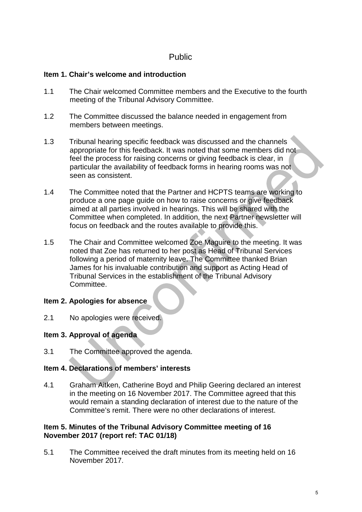#### Public

#### **Item 1. Chair's welcome and introduction**

- 1.1 The Chair welcomed Committee members and the Executive to the fourth meeting of the Tribunal Advisory Committee.
- 1.2 The Committee discussed the balance needed in engagement from members between meetings.
- 1.3 Tribunal hearing specific feedback was discussed and the channels appropriate for this feedback. It was noted that some members did not feel the process for raising concerns or giving feedback is clear, in particular the availability of feedback forms in hearing rooms was not seen as consistent.
- 1.4 The Committee noted that the Partner and HCPTS teams are working to produce a one page guide on how to raise concerns or give feedback aimed at all parties involved in hearings. This will be shared with the Committee when completed. In addition, the next Partner newsletter will focus on feedback and the routes available to provide this.
- 1.5 The Chair and Committee welcomed Zoe Maguire to the meeting. It was noted that Zoe has returned to her post as Head of Tribunal Services following a period of maternity leave. The Committee thanked Brian James for his invaluable contribution and support as Acting Head of Tribunal Services in the establishment of the Tribunal Advisory Committee.

#### **Item 2. Apologies for absence**

2.1 No apologies were received.

#### **Item 3. Approval of agenda**

3.1 The Committee approved the agenda.

#### **Item 4. Declarations of members' interests**

4.1 Graham Aitken, Catherine Boyd and Philip Geering declared an interest in the meeting on 16 November 2017. The Committee agreed that this would remain a standing declaration of interest due to the nature of the Committee's remit. There were no other declarations of interest.

#### **Item 5. Minutes of the Tribunal Advisory Committee meeting of 16 November 2017 (report ref: TAC 01/18)**

5.1 The Committee received the draft minutes from its meeting held on 16 November 2017.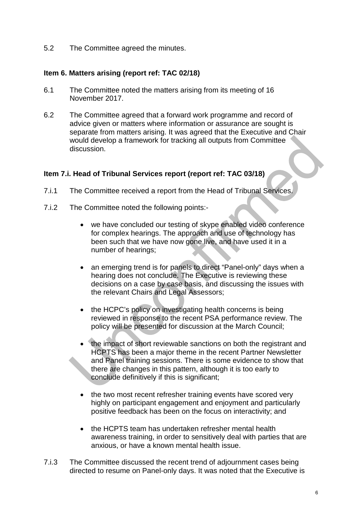5.2 The Committee agreed the minutes.

#### **Item 6. Matters arising (report ref: TAC 02/18)**

- 6.1 The Committee noted the matters arising from its meeting of 16 November 2017.
- 6.2 The Committee agreed that a forward work programme and record of advice given or matters where information or assurance are sought is separate from matters arising. It was agreed that the Executive and Chair would develop a framework for tracking all outputs from Committee discussion.

#### **Item 7.i. Head of Tribunal Services report (report ref: TAC 03/18)**

- 7.i.1 The Committee received a report from the Head of Tribunal Services.
- 7.i.2 The Committee noted the following points:
	- we have concluded our testing of skype enabled video conference for complex hearings. The approach and use of technology has been such that we have now gone live, and have used it in a number of hearings;
	- an emerging trend is for panels to direct "Panel-only" days when a hearing does not conclude. The Executive is reviewing these decisions on a case by case basis, and discussing the issues with the relevant Chairs and Legal Assessors;
	- the HCPC's policy on investigating health concerns is being reviewed in response to the recent PSA performance review. The policy will be presented for discussion at the March Council;
	- the impact of short reviewable sanctions on both the registrant and HCPTS has been a major theme in the recent Partner Newsletter and Panel training sessions. There is some evidence to show that there are changes in this pattern, although it is too early to conclude definitively if this is significant;
	- the two most recent refresher training events have scored very highly on participant engagement and enjoyment and particularly positive feedback has been on the focus on interactivity; and
	- the HCPTS team has undertaken refresher mental health awareness training, in order to sensitively deal with parties that are anxious, or have a known mental health issue.
- 7.i.3 The Committee discussed the recent trend of adjournment cases being directed to resume on Panel-only days. It was noted that the Executive is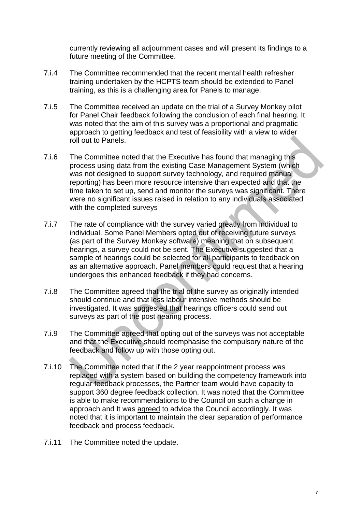currently reviewing all adjournment cases and will present its findings to a future meeting of the Committee.

- 7.i.4 The Committee recommended that the recent mental health refresher training undertaken by the HCPTS team should be extended to Panel training, as this is a challenging area for Panels to manage.
- 7.i.5 The Committee received an update on the trial of a Survey Monkey pilot for Panel Chair feedback following the conclusion of each final hearing. It was noted that the aim of this survey was a proportional and pragmatic approach to getting feedback and test of feasibility with a view to wider roll out to Panels.
- 7.i.6 The Committee noted that the Executive has found that managing this process using data from the existing Case Management System (which was not designed to support survey technology, and required manual reporting) has been more resource intensive than expected and that the time taken to set up, send and monitor the surveys was significant. There were no significant issues raised in relation to any individuals associated with the completed surveys
- 7.i.7 The rate of compliance with the survey varied greatly from individual to individual. Some Panel Members opted out of receiving future surveys (as part of the Survey Monkey software) meaning that on subsequent hearings, a survey could not be sent. The Executive suggested that a sample of hearings could be selected for all participants to feedback on as an alternative approach. Panel members could request that a hearing undergoes this enhanced feedback if they had concerns.
- 7.i.8 The Committee agreed that the trial of the survey as originally intended should continue and that less labour intensive methods should be investigated. It was suggested that hearings officers could send out surveys as part of the post hearing process.
- 7.i.9 The Committee agreed that opting out of the surveys was not acceptable and that the Executive should reemphasise the compulsory nature of the feedback and follow up with those opting out.
- 7.i.10 The Committee noted that if the 2 year reappointment process was replaced with a system based on building the competency framework into regular feedback processes, the Partner team would have capacity to support 360 degree feedback collection. It was noted that the Committee is able to make recommendations to the Council on such a change in approach and It was agreed to advice the Council accordingly. It was noted that it is important to maintain the clear separation of performance feedback and process feedback.
- 7.i.11 The Committee noted the update.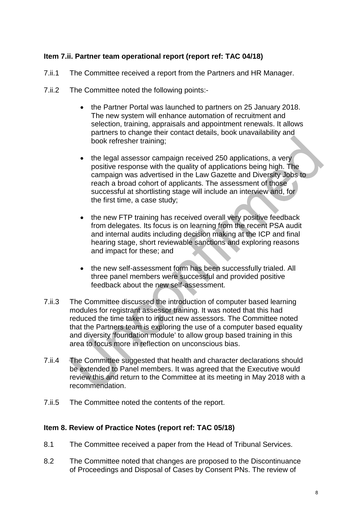#### **Item 7.ii. Partner team operational report (report ref: TAC 04/18)**

- 7.ii.1 The Committee received a report from the Partners and HR Manager.
- 7.ii.2 The Committee noted the following points:-
	- the Partner Portal was launched to partners on 25 January 2018. The new system will enhance automation of recruitment and selection, training, appraisals and appointment renewals. It allows partners to change their contact details, book unavailability and book refresher training;
	- the legal assessor campaign received 250 applications, a very positive response with the quality of applications being high. The campaign was advertised in the Law Gazette and Diversity Jobs to reach a broad cohort of applicants. The assessment of those successful at shortlisting stage will include an interview and, for the first time, a case study;
	- the new FTP training has received overall very positive feedback from delegates. Its focus is on learning from the recent PSA audit and internal audits including decision making at the ICP and final hearing stage, short reviewable sanctions and exploring reasons and impact for these; and
	- the new self-assessment form has been successfully trialed. All three panel members were successful and provided positive feedback about the new self-assessment.
- 7.ii.3 The Committee discussed the introduction of computer based learning modules for registrant assessor training. It was noted that this had reduced the time taken to induct new assessors. The Committee noted that the Partners team is exploring the use of a computer based equality and diversity 'foundation module' to allow group based training in this area to focus more in reflection on unconscious bias.
- 7.ii.4 The Committee suggested that health and character declarations should be extended to Panel members. It was agreed that the Executive would review this and return to the Committee at its meeting in May 2018 with a recommendation.
- 7.ii.5 The Committee noted the contents of the report.

#### **Item 8. Review of Practice Notes (report ref: TAC 05/18)**

- 8.1 The Committee received a paper from the Head of Tribunal Services.
- 8.2 The Committee noted that changes are proposed to the Discontinuance of Proceedings and Disposal of Cases by Consent PNs. The review of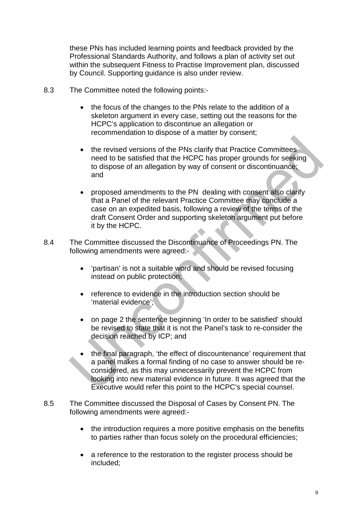these PNs has included learning points and feedback provided by the Professional Standards Authority, and follows a plan of activity set out within the subsequent Fitness to Practise Improvement plan, discussed by Council. Supporting guidance is also under review.

- 8.3 The Committee noted the following points:-
	- the focus of the changes to the PNs relate to the addition of a skeleton argument in every case, setting out the reasons for the HCPC's application to discontinue an allegation or recommendation to dispose of a matter by consent;
	- the revised versions of the PNs clarify that Practice Committees need to be satisfied that the HCPC has proper grounds for seeking to dispose of an allegation by way of consent or discontinuance; and
	- proposed amendments to the PN dealing with consent also clarify that a Panel of the relevant Practice Committee may conclude a case on an expedited basis, following a review of the terms of the draft Consent Order and supporting skeleton argument put before it by the HCPC.
- 8.4 The Committee discussed the Discontinuance of Proceedings PN. The following amendments were agreed:-
	- 'partisan' is not a suitable word and should be revised focusing instead on public protection;
	- reference to evidence in the introduction section should be 'material evidence';
	- on page 2 the sentence beginning 'In order to be satisfied' should be revised to state that it is not the Panel's task to re-consider the decision reached by ICP; and
	- the final paragraph, 'the effect of discountenance' requirement that a panel makes a formal finding of no case to answer should be reconsidered, as this may unnecessarily prevent the HCPC from looking into new material evidence in future. It was agreed that the Executive would refer this point to the HCPC's special counsel.
- 8.5 The Committee discussed the Disposal of Cases by Consent PN. The following amendments were agreed:-
	- the introduction requires a more positive emphasis on the benefits to parties rather than focus solely on the procedural efficiencies;
	- a reference to the restoration to the register process should be included;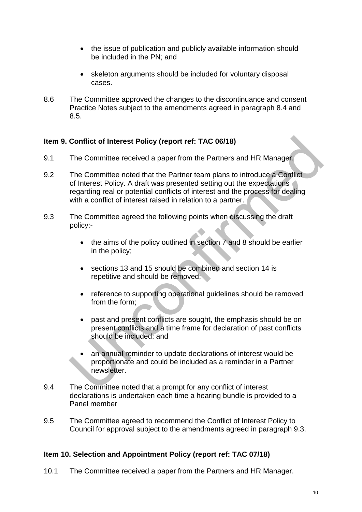- the issue of publication and publicly available information should be included in the PN; and
- skeleton arguments should be included for voluntary disposal cases.
- 8.6 The Committee approved the changes to the discontinuance and consent Practice Notes subject to the amendments agreed in paragraph 8.4 and 8.5.

#### **Item 9. Conflict of Interest Policy (report ref: TAC 06/18)**

- 9.1 The Committee received a paper from the Partners and HR Manager.
- 9.2 The Committee noted that the Partner team plans to introduce a Conflict of Interest Policy. A draft was presented setting out the expectations regarding real or potential conflicts of interest and the process for dealing with a conflict of interest raised in relation to a partner.
- 9.3 The Committee agreed the following points when discussing the draft policy:-
	- the aims of the policy outlined in section 7 and 8 should be earlier in the policy;
	- sections 13 and 15 should be combined and section 14 is repetitive and should be removed;
	- reference to supporting operational guidelines should be removed from the form;
	- past and present conflicts are sought, the emphasis should be on present conflicts and a time frame for declaration of past conflicts should be included; and
	- an annual reminder to update declarations of interest would be proportionate and could be included as a reminder in a Partner newsletter.
- 9.4 The Committee noted that a prompt for any conflict of interest declarations is undertaken each time a hearing bundle is provided to a Panel member
- 9.5 The Committee agreed to recommend the Conflict of Interest Policy to Council for approval subject to the amendments agreed in paragraph 9.3.

#### **Item 10. Selection and Appointment Policy (report ref: TAC 07/18)**

10.1 The Committee received a paper from the Partners and HR Manager.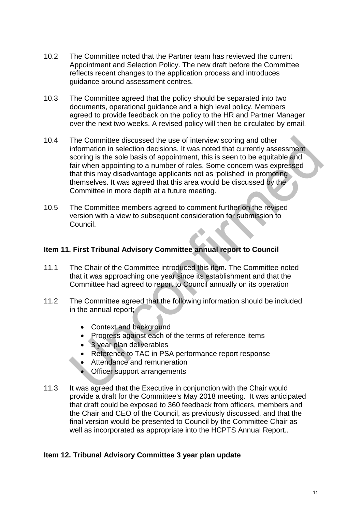- 10.2 The Committee noted that the Partner team has reviewed the current Appointment and Selection Policy. The new draft before the Committee reflects recent changes to the application process and introduces guidance around assessment centres.
- 10.3 The Committee agreed that the policy should be separated into two documents, operational guidance and a high level policy. Members agreed to provide feedback on the policy to the HR and Partner Manager over the next two weeks. A revised policy will then be circulated by email.
- 10.4 The Committee discussed the use of interview scoring and other information in selection decisions. It was noted that currently assessment scoring is the sole basis of appointment, this is seen to be equitable and fair when appointing to a number of roles. Some concern was expressed that this may disadvantage applicants not as 'polished' in promoting themselves. It was agreed that this area would be discussed by the Committee in more depth at a future meeting.
- 10.5 The Committee members agreed to comment further on the revised version with a view to subsequent consideration for submission to Council.

#### **Item 11. First Tribunal Advisory Committee annual report to Council**

- 11.1 The Chair of the Committee introduced this item. The Committee noted that it was approaching one year since its establishment and that the Committee had agreed to report to Council annually on its operation
- 11.2 The Committee agreed that the following information should be included in the annual report;
	- Context and background
	- Progress against each of the terms of reference items
	- 3 year plan deliverables
	- Reference to TAC in PSA performance report response
	- Attendance and remuneration
	- Officer support arrangements
- 11.3 It was agreed that the Executive in conjunction with the Chair would provide a draft for the Committee's May 2018 meeting. It was anticipated that draft could be exposed to 360 feedback from officers, members and the Chair and CEO of the Council, as previously discussed, and that the final version would be presented to Council by the Committee Chair as well as incorporated as appropriate into the HCPTS Annual Report..

#### **Item 12. Tribunal Advisory Committee 3 year plan update**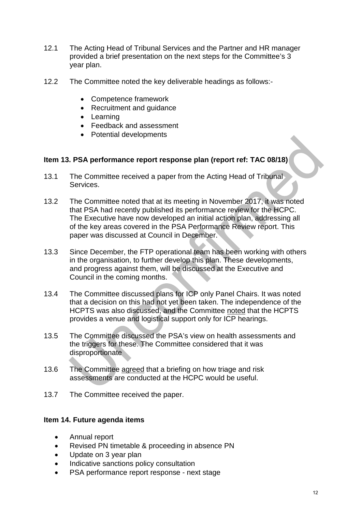- 12.1 The Acting Head of Tribunal Services and the Partner and HR manager provided a brief presentation on the next steps for the Committee's 3 year plan.
- 12.2 The Committee noted the key deliverable headings as follows:-
	- Competence framework
	- Recruitment and guidance
	- Learning
	- Feedback and assessment
	- Potential developments

#### **Item 13. PSA performance report response plan (report ref: TAC 08/18)**

- 13.1 The Committee received a paper from the Acting Head of Tribunal Services.
- 13.2 The Committee noted that at its meeting in November 2017, it was noted that PSA had recently published its performance review for the HCPC. The Executive have now developed an initial action plan, addressing all of the key areas covered in the PSA Performance Review report. This paper was discussed at Council in December.
- 13.3 Since December, the FTP operational team has been working with others in the organisation, to further develop this plan. These developments, and progress against them, will be discussed at the Executive and Council in the coming months.
- 13.4 The Committee discussed plans for ICP only Panel Chairs. It was noted that a decision on this had not yet been taken. The independence of the HCPTS was also discussed, and the Committee noted that the HCPTS provides a venue and logistical support only for ICP hearings.
- 13.5 The Committee discussed the PSA's view on health assessments and the triggers for these. The Committee considered that it was disproportionate
- 13.6 The Committee agreed that a briefing on how triage and risk assessments are conducted at the HCPC would be useful.
- 13.7 The Committee received the paper.

#### **Item 14. Future agenda items**

- Annual report
- Revised PN timetable & proceeding in absence PN
- Update on 3 year plan
- Indicative sanctions policy consultation
- PSA performance report response next stage